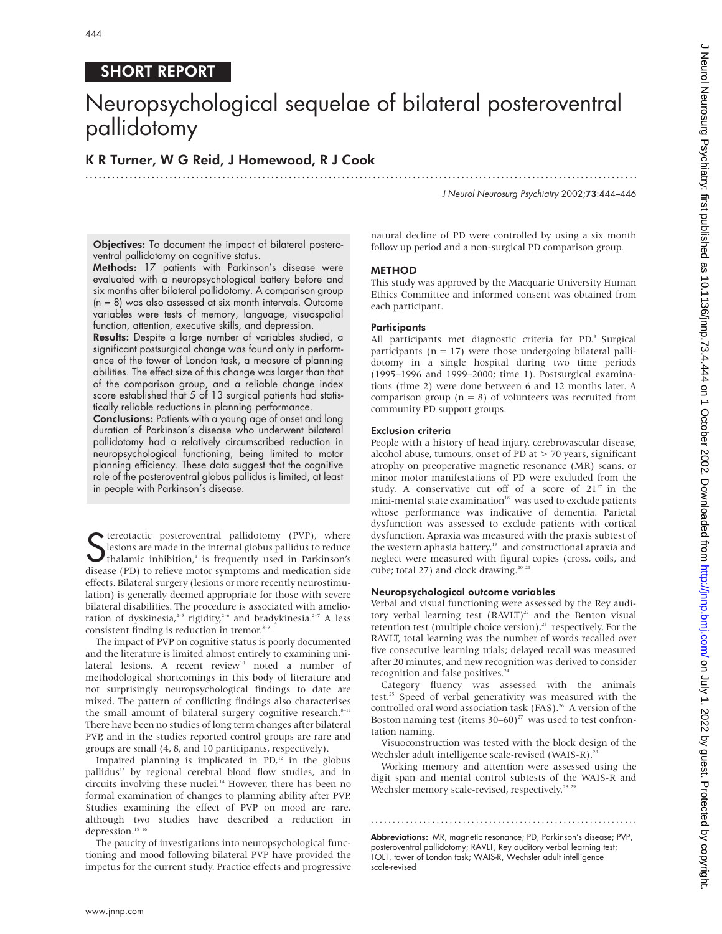# SHORT REPORT

# Neuropsychological sequelae of bilateral posteroventral pallidotomy

.............................................................................................................................

# K R Turner, W G Reid, J Homewood, R J Cook

J Neurol Neurosurg Psychiatry 2002;73:444–446

Objectives: To document the impact of bilateral posteroventral pallidotomy on cognitive status.

Methods: 17 patients with Parkinson's disease were evaluated with a neuropsychological battery before and six months after bilateral pallidotomy. A comparison group (n = 8) was also assessed at six month intervals. Outcome variables were tests of memory, language, visuospatial function, attention, executive skills, and depression.

Results: Despite a large number of variables studied, a significant postsurgical change was found only in performance of the tower of London task, a measure of planning abilities. The effect size of this change was larger than that of the comparison group, and a reliable change index score established that 5 of 13 surgical patients had statistically reliable reductions in planning performance.

Conclusions: Patients with a young age of onset and long duration of Parkinson's disease who underwent bilateral pallidotomy had a relatively circumscribed reduction in neuropsychological functioning, being limited to motor planning efficiency. These data suggest that the cognitive role of the posteroventral globus pallidus is limited, at least in people with Parkinson's disease.

Subseminate the internal pallidotomy (PVP), where<br>
Sesions are made in the internal globus pallidus to reduce<br>
thalamic inhibition,<sup>1</sup> is frequently used in Parkinson's<br>
disease (PD) to reliance motor sumptoms and modisati lesions are made in the internal globus pallidus to reduce thalamic inhibition, $\frac{1}{1}$  is frequently used in Parkinson's disease (PD) to relieve motor symptoms and medication side effects. Bilateral surgery (lesions or more recently neurostimulation) is generally deemed appropriate for those with severe bilateral disabilities. The procedure is associated with amelioration of dyskinesia,<sup>2-5</sup> rigidity,<sup>2-6</sup> and bradykinesia.<sup>2-7</sup> A less consistent finding is reduction in tremor. $8-9$ 

The impact of PVP on cognitive status is poorly documented and the literature is limited almost entirely to examining unilateral lesions. A recent review<sup>10</sup> noted a number of methodological shortcomings in this body of literature and not surprisingly neuropsychological findings to date are mixed. The pattern of conflicting findings also characterises the small amount of bilateral surgery cognitive research.<sup>8-11</sup> There have been no studies of long term changes after bilateral PVP, and in the studies reported control groups are rare and groups are small (4, 8, and 10 participants, respectively).

Impaired planning is implicated in  $PD<sub>r</sub><sup>12</sup>$  in the globus pallidus<sup>13</sup> by regional cerebral blood flow studies, and in circuits involving these nuclei.<sup>14</sup> However, there has been no formal examination of changes to planning ability after PVP. Studies examining the effect of PVP on mood are rare, although two studies have described a reduction in depression.<sup>15 16</sup>

The paucity of investigations into neuropsychological functioning and mood following bilateral PVP have provided the impetus for the current study. Practice effects and progressive

natural decline of PD were controlled by using a six month follow up period and a non-surgical PD comparison group.

## METHOD

This study was approved by the Macquarie University Human Ethics Committee and informed consent was obtained from each participant.

## **Participants**

All participants met diagnostic criteria for PD.<sup>3</sup> Surgical participants ( $n = 17$ ) were those undergoing bilateral pallidotomy in a single hospital during two time periods (1995–1996 and 1999–2000; time 1). Postsurgical examinations (time 2) were done between 6 and 12 months later. A comparison group ( $n = 8$ ) of volunteers was recruited from community PD support groups.

# Exclusion criteria

People with a history of head injury, cerebrovascular disease, alcohol abuse, tumours, onset of PD at > 70 years, significant atrophy on preoperative magnetic resonance (MR) scans, or minor motor manifestations of PD were excluded from the study. A conservative cut off of a score of  $21^{17}$  in the mini-mental state examination<sup>18</sup> was used to exclude patients whose performance was indicative of dementia. Parietal dysfunction was assessed to exclude patients with cortical dysfunction. Apraxia was measured with the praxis subtest of the western aphasia battery,<sup>19</sup> and constructional apraxia and neglect were measured with figural copies (cross, coils, and cube; total 27) and clock drawing.<sup>20 21</sup>

# Neuropsychological outcome variables

Verbal and visual functioning were assessed by the Rey auditory verbal learning test  $(RAVLT)^{22}$  and the Benton visual retention test (multiple choice version),<sup>23</sup> respectively. For the RAVLT, total learning was the number of words recalled over five consecutive learning trials; delayed recall was measured after 20 minutes; and new recognition was derived to consider recognition and false positives.<sup>24</sup>

Category fluency was assessed with the animals test.<sup>25</sup> Speed of verbal generativity was measured with the controlled oral word association task (FAS).<sup>26</sup> A version of the Boston naming test (items  $30-60)^{27}$  was used to test confrontation naming.

Visuoconstruction was tested with the block design of the Wechsler adult intelligence scale-revised (WAIS-R).<sup>2</sup>

Working memory and attention were assessed using the digit span and mental control subtests of the WAIS-R and Wechsler memory scale-revised, respectively.<sup>28</sup> <sup>29</sup>

Abbreviations: MR, magnetic resonance; PD, Parkinson's disease; PVP, posteroventral pallidotomy; RAVLT, Rey auditory verbal learning test; TOLT, tower of London task; WAIS-R, Wechsler adult intelligence scale-revised

.............................................................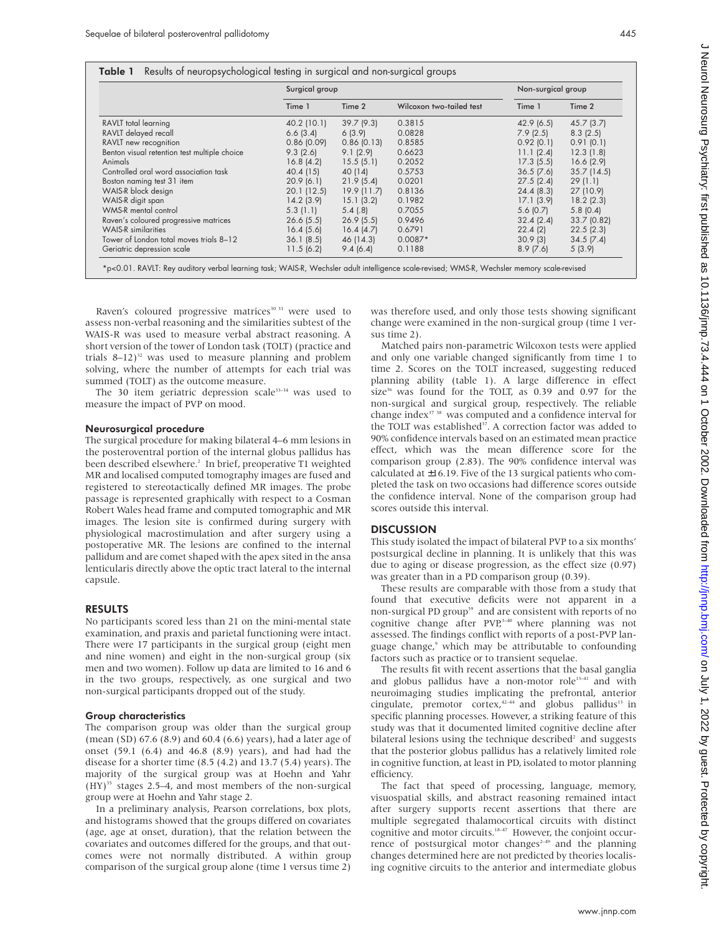|                                              | Surgical group |               |                          | Non-surgical group |             |
|----------------------------------------------|----------------|---------------|--------------------------|--------------------|-------------|
|                                              | Time 1         | Time 2        | Wilcoxon two-tailed test | Time 1             | Time 2      |
| RAVLT total learning                         | 40.2 (10.1)    | 39.7(9.3)     | 0.3815                   | 42.9(6.5)          | 45.7(3.7)   |
| RAVLT delayed recall                         | 6.6(3.4)       | 6(3.9)        | 0.0828                   | 7.9(2.5)           | 8.3(2.5)    |
| RAVLT new recognition                        | 0.86(0.09)     | 0.86(0.13)    | 0.8585                   | 0.92(0.1)          | 0.91(0.1)   |
| Benton visual retention test multiple choice | 9.3(2.6)       | 9.1(2.9)      | 0.6623                   | 11.1(2.4)          | 12.3(1.8)   |
| Animals                                      | 16.8(4.2)      | 15.5(5.1)     | 0.2052                   | 17.3(5.5)          | 16.6(2.9)   |
| Controlled oral word association task        | 40.4 (15)      | 40 (14)       | 0.5753                   | $36.5$ (7.6)       | 35.7(14.5)  |
| Boston naming test 31 item                   | 20.9(6.1)      | 21.9(5.4)     | 0.0201                   | 27.5(2.4)          | 29(1.1)     |
| WAIS-R block design                          | 20.1(12.5)     | $19.9$ (11.7) | 0.8136                   | 24.4(8.3)          | 27 (10.9)   |
| WAIS-R digit span                            | 14.2(3.9)      | 15.1(3.2)     | 0.1982                   | 17.1(3.9)          | 18.2(2.3)   |
| WMS-R mental control                         | 5.3(1.1)       | 5.4(.8)       | 0.7055                   | 5.6(0.7)           | 5.8(0.4)    |
| Raven's coloured progressive matrices        | $26.6$ $(5.5)$ | 26.9(5.5)     | 0.9496                   | 32.4(2.4)          | 33.7 (0.82) |
| <b>WAIS-R</b> similarities                   | 16.4(5.6)      | 16.4(4.7)     | 0.6791                   | 22.4(2)            | 22.5(2.3)   |
| Tower of London total moves trials 8-12      | 36.1(8.5)      | 46 (14.3)     | $0.0087*$                | 30.9(3)            | 34.5(7.4)   |
| Geriatric depression scale                   | 11.5(6.2)      | 9.4(6.4)      | 0.1188                   | 8.9(7.6)           | 5(3.9)      |

Raven's coloured progressive matrices<sup>30 31</sup> were used to assess non-verbal reasoning and the similarities subtest of the WAIS-R was used to measure verbal abstract reasoning. A short version of the tower of London task (TOLT) (practice and trials  $8-12$ <sup>32</sup> was used to measure planning and problem solving, where the number of attempts for each trial was summed (TOLT) as the outcome measure.

The 30 item geriatric depression scale<sup>33-34</sup> was used to measure the impact of PVP on mood.

#### Neurosurgical procedure

The surgical procedure for making bilateral 4–6 mm lesions in the posteroventral portion of the internal globus pallidus has been described elsewhere.<sup>2</sup> In brief, preoperative T1 weighted MR and localised computed tomography images are fused and registered to stereotactically defined MR images. The probe passage is represented graphically with respect to a Cosman Robert Wales head frame and computed tomographic and MR images. The lesion site is confirmed during surgery with physiological macrostimulation and after surgery using a postoperative MR. The lesions are confined to the internal pallidum and are comet shaped with the apex sited in the ansa lenticularis directly above the optic tract lateral to the internal capsule.

# RESULTS

No participants scored less than 21 on the mini-mental state examination, and praxis and parietal functioning were intact. There were 17 participants in the surgical group (eight men and nine women) and eight in the non-surgical group (six men and two women). Follow up data are limited to 16 and 6 in the two groups, respectively, as one surgical and two non-surgical participants dropped out of the study.

# Group characteristics

The comparison group was older than the surgical group (mean (SD) 67.6 (8.9) and 60.4 (6.6) years), had a later age of onset (59.1 (6.4) and 46.8 (8.9) years), and had had the disease for a shorter time (8.5 (4.2) and 13.7 (5.4) years). The majority of the surgical group was at Hoehn and Yahr  $(HY)^{35}$  stages 2.5–4, and most members of the non-surgical group were at Hoehn and Yahr stage 2.

In a preliminary analysis, Pearson correlations, box plots, and histograms showed that the groups differed on covariates (age, age at onset, duration), that the relation between the covariates and outcomes differed for the groups, and that outcomes were not normally distributed. A within group comparison of the surgical group alone (time 1 versus time 2) was therefore used, and only those tests showing significant change were examined in the non-surgical group (time 1 versus time 2).

Matched pairs non-parametric Wilcoxon tests were applied and only one variable changed significantly from time 1 to time 2. Scores on the TOLT increased, suggesting reduced planning ability (table 1). A large difference in effect size $36$  was found for the TOLT, as 0.39 and 0.97 for the non-surgical and surgical group, respectively. The reliable change index<sup>37</sup> 38</sup> was computed and a confidence interval for the TOLT was established<sup>37</sup>. A correction factor was added to 90% confidence intervals based on an estimated mean practice effect, which was the mean difference score for the comparison group (2.83). The 90% confidence interval was calculated at ±16.19. Five of the 13 surgical patients who completed the task on two occasions had difference scores outside the confidence interval. None of the comparison group had scores outside this interval.

# **DISCUSSION**

This study isolated the impact of bilateral PVP to a six months' postsurgical decline in planning. It is unlikely that this was due to aging or disease progression, as the effect size (0.97) was greater than in a PD comparison group (0.39).

These results are comparable with those from a study that found that executive deficits were not apparent in a non-surgical PD group<sup>39</sup> and are consistent with reports of no cognitive change after PVP,<sup>3-40</sup> where planning was not assessed. The findings conflict with reports of a post-PVP language change,<sup>9</sup> which may be attributable to confounding factors such as practice or to transient sequelae.

The results fit with recent assertions that the basal ganglia and globus pallidus have a non-motor role<sup>13-41</sup> and with neuroimaging studies implicating the prefrontal, anterior cingulate, premotor cortex,<sup>42-44</sup> and globus pallidus<sup>13</sup> in specific planning processes. However, a striking feature of this study was that it documented limited cognitive decline after bilateral lesions using the technique described<sup>2</sup> and suggests that the posterior globus pallidus has a relatively limited role in cognitive function, at least in PD, isolated to motor planning efficiency.

The fact that speed of processing, language, memory, visuospatial skills, and abstract reasoning remained intact after surgery supports recent assertions that there are multiple segregated thalamocortical circuits with distinct cognitive and motor circuits.<sup>18-47</sup> However, the conjoint occurrence of postsurgical motor changes<sup> $2-49$ </sup> and the planning changes determined here are not predicted by theories localising cognitive circuits to the anterior and intermediate globus